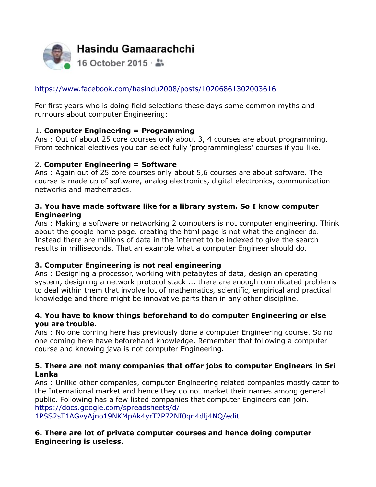

## <https://www.facebook.com/hasindu2008/posts/10206861302003616>

For first years who is doing field selections these days some common myths and rumours about computer Engineering:

## 1. **Computer Engineering = Programming**

Ans : Out of about 25 core courses only about 3, 4 courses are about programming. From technical electives you can select fully 'programmingless' courses if you like.

## 2. **Computer Engineering = Software**

Ans : Again out of 25 core courses only about 5,6 courses are about software. The course is made up of software, analog electronics, digital electronics, communication networks and mathematics.

## **3. You have made software like for a library system. So I know computer Engineering**

Ans : Making a software or networking 2 computers is not computer engineering. Think about the google home page. creating the html page is not what the engineer do. Instead there are millions of data in the Internet to be indexed to give the search results in milliseconds. That an example what a computer Engineer should do.

# **3. Computer Engineering is not real engineering**

Ans : Designing a processor, working with petabytes of data, design an operating system, designing a network protocol stack ... there are enough complicated problems to deal within them that involve lot of mathematics, scientific, empirical and practical knowledge and there might be innovative parts than in any other discipline.

#### **4. You have to know things beforehand to do computer Engineering or else you are trouble.**

Ans : No one coming here has previously done a computer Engineering course. So no one coming here have beforehand knowledge. Remember that following a computer course and knowing java is not computer Engineering.

#### **5. There are not many companies that offer jobs to computer Engineers in Sri Lanka**

Ans : Unlike other companies, computer Engineering related companies mostly cater to the International market and hence they do not market their names among general public. Following has a few listed companies that computer Engineers can join. [https://docs.google.com/spreadsheets/d/](https://docs.google.com/spreadsheets/d/1PSS2sT1AGvyAjno19NKMpAk4yrT2P72NI0qn4dlj4NQ/edit)

[1PSS2sT1AGvyAjno19NKMpAk4yrT2P72NI0qn4dlj4NQ/edit](https://docs.google.com/spreadsheets/d/1PSS2sT1AGvyAjno19NKMpAk4yrT2P72NI0qn4dlj4NQ/edit)

## **6. There are lot of private computer courses and hence doing computer Engineering is useless.**